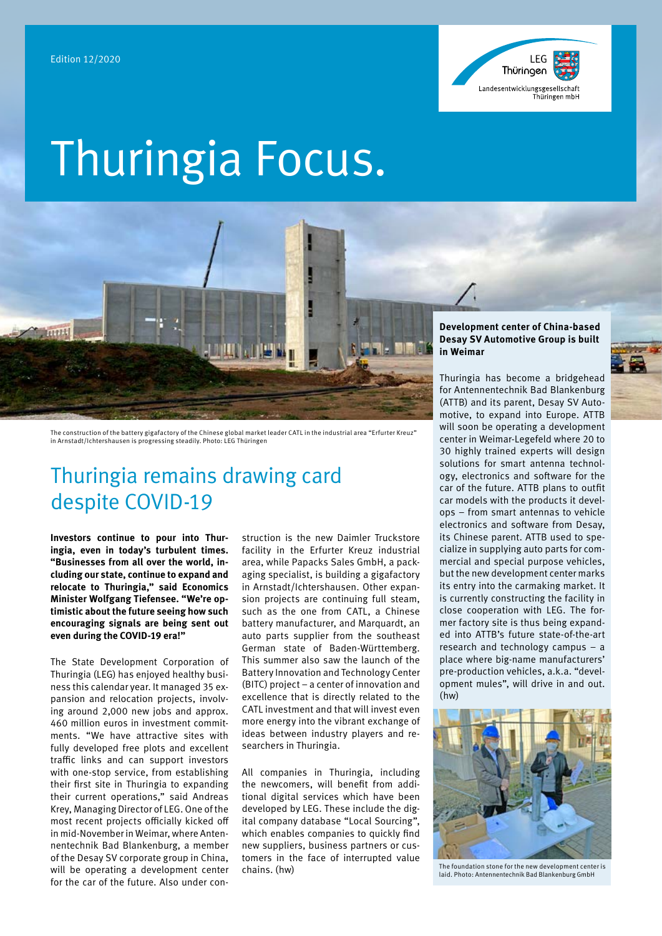

# Thuringia Focus.



The construction of the battery gigafactory of the Chinese global market leader CATL in the industrial area "Erfurter Kreuz" in Arnstadt/Ichtershausen is progressing steadily. Photo: LEG Thüringen

# Thuringia remains drawing card despite COVID-19

**Investors continue to pour into Thuringia, even in today's turbulent times. "Businesses from all over the world, including our state, continue to expand and relocate to Thuringia," said Economics Minister Wolfgang Tiefensee. "We're optimistic about the future seeing how such encouraging signals are being sent out even during the COVID-19 era!"**

The State Development Corporation of Thuringia (LEG) has enjoyed healthy business this calendar year. It managed 35 expansion and relocation projects, involving around 2,000 new jobs and approx. 460 million euros in investment commitments. "We have attractive sites with fully developed free plots and excellent traffic links and can support investors with one-stop service, from establishing their first site in Thuringia to expanding their current operations," said Andreas Krey, Managing Director of LEG. One of the most recent projects officially kicked off in mid-November in Weimar, where Antennentechnik Bad Blankenburg, a member of the Desay SV corporate group in China, will be operating a development center for the car of the future. Also under construction is the new Daimler Truckstore facility in the Erfurter Kreuz industrial area, while Papacks Sales GmbH, a packaging specialist, is building a gigafactory in Arnstadt/Ichtershausen. Other expansion projects are continuing full steam, such as the one from CATL, a Chinese battery manufacturer, and Marquardt, an auto parts supplier from the southeast German state of Baden-Württemberg. This summer also saw the launch of the Battery Innovation and Technology Center (BITC) project – a center of innovation and excellence that is directly related to the CATL investment and that will invest even more energy into the vibrant exchange of ideas between industry players and researchers in Thuringia.

All companies in Thuringia, including the newcomers, will benefit from additional digital services which have been developed by LEG. These include the digital company database "Local Sourcing", which enables companies to quickly find new suppliers, business partners or customers in the face of interrupted value chains. (hw)

### **Development center of China-based Desay SV Automotive Group is built in Weimar**

Thuringia has become a bridgehead for Antennentechnik Bad Blankenburg (ATTB) and its parent, Desay SV Automotive, to expand into Europe. ATTB will soon be operating a development center in Weimar-Legefeld where 20 to 30 highly trained experts will design solutions for smart antenna technology, electronics and software for the car of the future. ATTB plans to outfit car models with the products it develops – from smart antennas to vehicle electronics and software from Desay, its Chinese parent. ATTB used to specialize in supplying auto parts for commercial and special purpose vehicles, but the new development center marks its entry into the carmaking market. It is currently constructing the facility in close cooperation with LEG. The former factory site is thus being expanded into ATTB's future state-of-the-art research and technology campus – a place where big-name manufacturers' pre-production vehicles, a.k.a. "development mules", will drive in and out. (hw)



The foundation stone for the new development center is laid. Photo: Antennentechnik Bad Blankenburg GmbH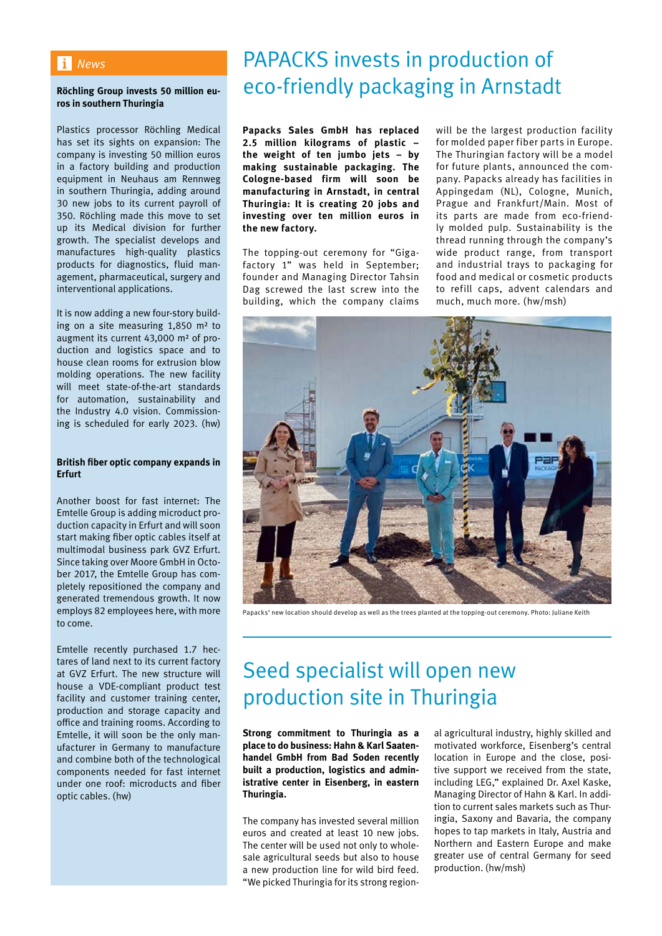### *News*

### **Röchling Group invests 50 million euros in southern Thuringia**

Plastics processor Röchling Medical has set its sights on expansion: The company is investing 50 million euros in a factory building and production equipment in Neuhaus am Rennweg in southern Thuringia, adding around 30 new jobs to its current payroll of 350. Röchling made this move to set up its Medical division for further growth. The specialist develops and manufactures high-quality plastics products for diagnostics, fluid management, pharmaceutical, surgery and interventional applications.

It is now adding a new four-story building on a site measuring 1,850 m² to augment its current 43,000 m² of production and logistics space and to house clean rooms for extrusion blow molding operations. The new facility will meet state-of-the-art standards for automation, sustainability and the Industry 4.0 vision. Commissioning is scheduled for early 2023. (hw)

### **British fiber optic company expands in Erfurt**

Another boost for fast internet: The Emtelle Group is adding microduct production capacity in Erfurt and will soon start making fiber optic cables itself at multimodal business park GVZ Erfurt. Since taking over Moore GmbH in October 2017, the Emtelle Group has completely repositioned the company and generated tremendous growth. It now employs 82 employees here, with more to come.

Emtelle recently purchased 1.7 hectares of land next to its current factory at GVZ Erfurt. The new structure will house a VDE-compliant product test facility and customer training center, production and storage capacity and office and training rooms. According to Emtelle, it will soon be the only manufacturer in Germany to manufacture and combine both of the technological components needed for fast internet under one roof: microducts and fiber optic cables. (hw)

# PAPACKS invests in production of eco-friendly packaging in Arnstadt

**Papacks Sales GmbH has replaced 2.5 million kilograms of plastic – the weight of ten jumbo jets – by making sustainable packaging. The Cologne-based firm will soon be manufacturing in Arnstadt, in central Thuringia: It is creating 20 jobs and investing over ten million euros in the new factory.** 

The topping-out ceremony for "Gigafactory 1" was held in September; founder and Managing Director Tahsin Dag screwed the last screw into the building, which the company claims

will be the largest production facility for molded paper fiber parts in Europe. The Thuringian factory will be a model for future plants, announced the company. Papacks already has facilities in Appingedam (NL), Cologne, Munich, Prague and Frankfurt/Main. Most of its parts are made from eco-friendly molded pulp. Sustainability is the thread running through the company's wide product range, from transport and industrial trays to packaging for food and medical or cosmetic products to refill caps, advent calendars and much, much more. (hw/msh)



Papacks' new location should develop as well as the trees planted at the topping-out ceremony. Photo: Juliane Keith

# Seed specialist will open new production site in Thuringia

**Strong commitment to Thuringia as a place to do business: Hahn & Karl Saatenhandel GmbH from Bad Soden recently built a production, logistics and administrative center in Eisenberg, in eastern Thuringia.** 

The company has invested several million euros and created at least 10 new jobs. The center will be used not only to wholesale agricultural seeds but also to house a new production line for wild bird feed. "We picked Thuringia for its strong region-

al agricultural industry, highly skilled and motivated workforce, Eisenberg's central location in Europe and the close, positive support we received from the state, including LEG," explained Dr. Axel Kaske, Managing Director of Hahn & Karl. In addition to current sales markets such as Thuringia, Saxony and Bavaria, the company hopes to tap markets in Italy, Austria and Northern and Eastern Europe and make greater use of central Germany for seed production. (hw/msh)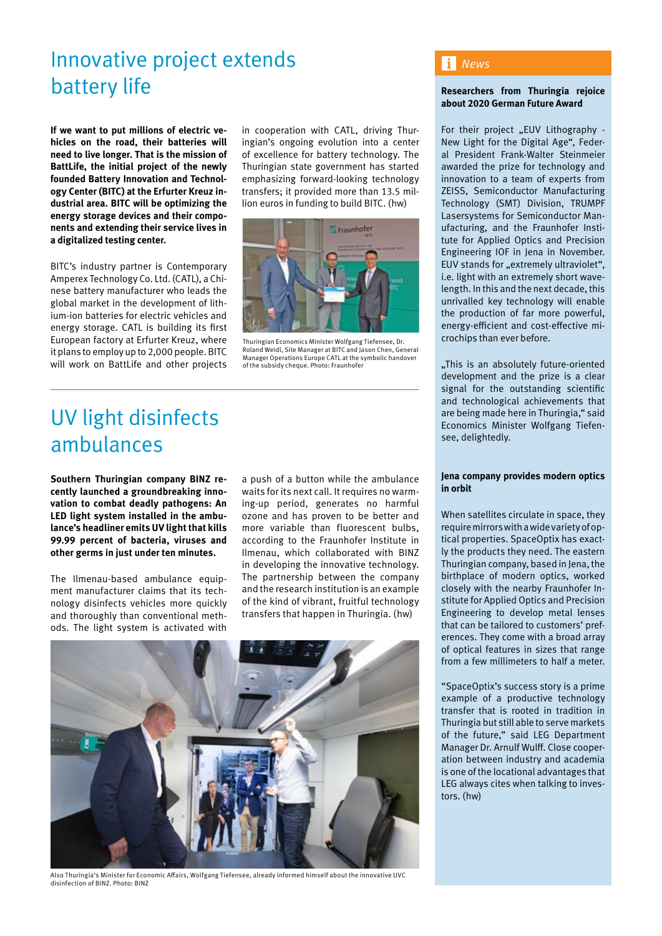# Innovative project extends battery life

**If we want to put millions of electric vehicles on the road, their batteries will need to live longer. That is the mission of BattLife, the initial project of the newly founded Battery Innovation and Technology Center (BITC) at the Erfurter Kreuz industrial area. BITC will be optimizing the energy storage devices and their components and extending their service lives in a digitalized testing center.**

BITC's industry partner is Contemporary Amperex Technology Co. Ltd. (CATL), a Chinese battery manufacturer who leads the global market in the development of lithium-ion batteries for electric vehicles and energy storage. CATL is building its first European factory at Erfurter Kreuz, where it plans to employ up to 2,000 people. BITC will work on BattLife and other projects

in cooperation with CATL, driving Thuringian's ongoing evolution into a center of excellence for battery technology. The Thuringian state government has started emphasizing forward-looking technology transfers; it provided more than 13.5 million euros in funding to build BITC. (hw)



Thuringian Economics Minister Wolfgang Tiefensee, Dr. Roland Weidl, Site Manager at BITC and Jason Chen, General Manager Operations Europe CATL at the symbolic handover of the subsidy cheque. Photo: Fraunhofer

# UV light disinfects ambulances

**Southern Thuringian company BINZ recently launched a groundbreaking innovation to combat deadly pathogens: An LED light system installed in the ambulance's headliner emits UV light that kills 99.99 percent of bacteria, viruses and other germs in just under ten minutes.**

The Ilmenau-based ambulance equipment manufacturer claims that its technology disinfects vehicles more quickly and thoroughly than conventional methods. The light system is activated with

a push of a button while the ambulance waits for its next call. It requires no warming-up period, generates no harmful ozone and has proven to be better and more variable than fluorescent bulbs, according to the Fraunhofer Institute in Ilmenau, which collaborated with BINZ in developing the innovative technology. The partnership between the company and the research institution is an example of the kind of vibrant, fruitful technology transfers that happen in Thuringia. (hw)



Also Thuringia's Minister for Economic Affairs, Wolfgang Tiefensee, already informed himself about the innovative UVC disinfection of BINZ. Photo: BINZ

### *News*

### **Researchers from Thuringia rejoice about 2020 German Future Award**

For their project "EUV Lithography -New Light for the Digital Age", Federal President Frank-Walter Steinmeier awarded the prize for technology and innovation to a team of experts from ZEISS, Semiconductor Manufacturing Technology (SMT) Division, TRUMPF Lasersystems for Semiconductor Manufacturing, and the Fraunhofer Institute for Applied Optics and Precision Engineering IOF in Jena in November. EUV stands for "extremely ultraviolet", i.e. light with an extremely short wavelength. In this and the next decade, this unrivalled key technology will enable the production of far more powerful, energy-efficient and cost-effective microchips than ever before.

"This is an absolutely future-oriented development and the prize is a clear signal for the outstanding scientific and technological achievements that are being made here in Thuringia," said Economics Minister Wolfgang Tiefensee, delightedly.

#### **Jena company provides modern optics in orbit**

When satellites circulate in space, they require mirrors with a wide variety of optical properties. SpaceOptix has exactly the products they need. The eastern Thuringian company, based in Jena, the birthplace of modern optics, worked closely with the nearby Fraunhofer Institute for Applied Optics and Precision Engineering to develop metal lenses that can be tailored to customers' preferences. They come with a broad array of optical features in sizes that range from a few millimeters to half a meter.

"SpaceOptix's success story is a prime example of a productive technology transfer that is rooted in tradition in Thuringia but still able to serve markets of the future," said LEG Department Manager Dr. Arnulf Wulff. Close cooperation between industry and academia is one of the locational advantages that LEG always cites when talking to investors. (hw)